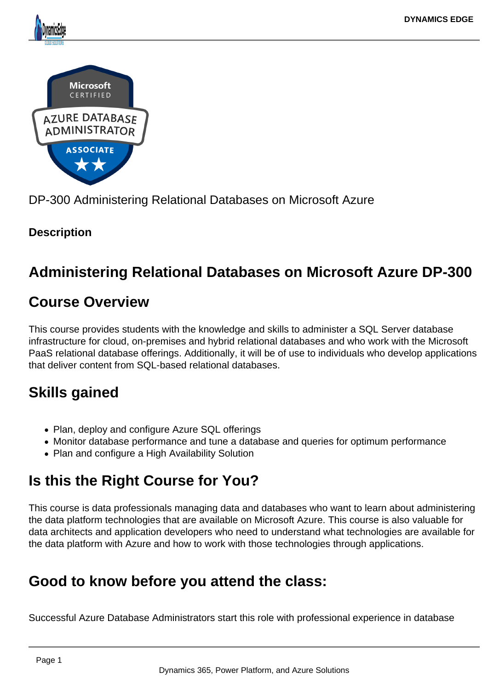



DP-300 Administering Relational Databases on Microsoft Azure

# **Description**

# **Administering Relational Databases on Microsoft Azure DP-300**

# **Course Overview**

This course provides students with the knowledge and skills to administer a SQL Server database infrastructure for cloud, on-premises and hybrid relational databases and who work with the Microsoft PaaS relational database offerings. Additionally, it will be of use to individuals who develop applications that deliver content from SQL-based relational databases.

# **Skills gained**

- Plan, deploy and configure Azure SQL offerings
- Monitor database performance and tune a database and queries for optimum performance
- Plan and configure a High Availability Solution

# **Is this the Right Course for You?**

This course is data professionals managing data and databases who want to learn about administering the data platform technologies that are available on Microsoft Azure. This course is also valuable for data architects and application developers who need to understand what technologies are available for the data platform with Azure and how to work with those technologies through applications.

# **Good to know before you attend the class:**

Successful Azure Database Administrators start this role with professional experience in database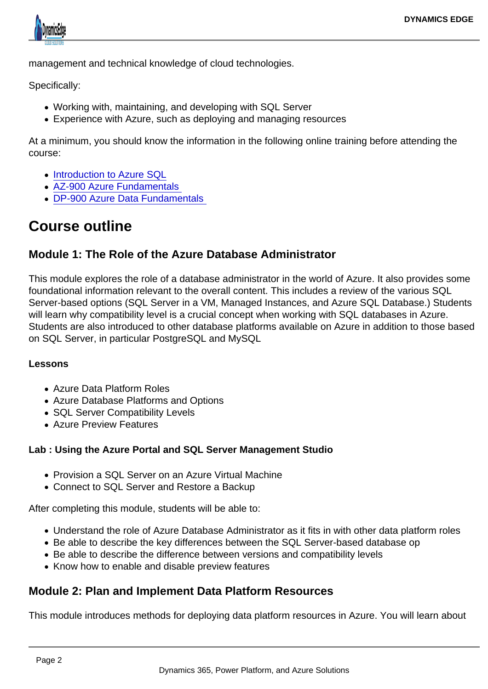management and technical knowledge of cloud technologies.

Specifically:

- Working with, maintaining, and developing with SQL Server
- Experience with Azure, such as deploying and managing resources

At a minimum, you should know the information in the following online training before attending the course:

- [Introduction to Azure SQL](https://docs.microsoft.com/en-us/learn/modules/azure-sql-intro/)
- [AZ-900 Azure Fundamentals](https://docs.microsoft.com/en-us/learn/certifications/azure-fundamentals)
- [DP-900 Azure Data Fundamentals](https://docs.microsoft.com/en-us/learn/certifications/azure-data-fundamentals)

# Course outline

#### Module 1: The Role of the Azure Database Administrator

This module explores the role of a database administrator in the world of Azure. It also provides some foundational information relevant to the overall content. This includes a review of the various SQL Server-based options (SQL Server in a VM, Managed Instances, and Azure SQL Database.) Students will learn why compatibility level is a crucial concept when working with SQL databases in Azure. Students are also introduced to other database platforms available on Azure in addition to those based on SQL Server, in particular PostgreSQL and MySQL

#### Lessons

- Azure Data Platform Roles
- Azure Database Platforms and Options
- SQL Server Compatibility Levels
- Azure Preview Features

Lab : Using the Azure Portal and SQL Server Management Studio

- Provision a SQL Server on an Azure Virtual Machine
- Connect to SQL Server and Restore a Backup

After completing this module, students will be able to:

- Understand the role of Azure Database Administrator as it fits in with other data platform roles
- Be able to describe the key differences between the SQL Server-based database op
- Be able to describe the difference between versions and compatibility levels
- Know how to enable and disable preview features

#### Module 2: Plan and Implement Data Platform Resources

This module introduces methods for deploying data platform resources in Azure. You will learn about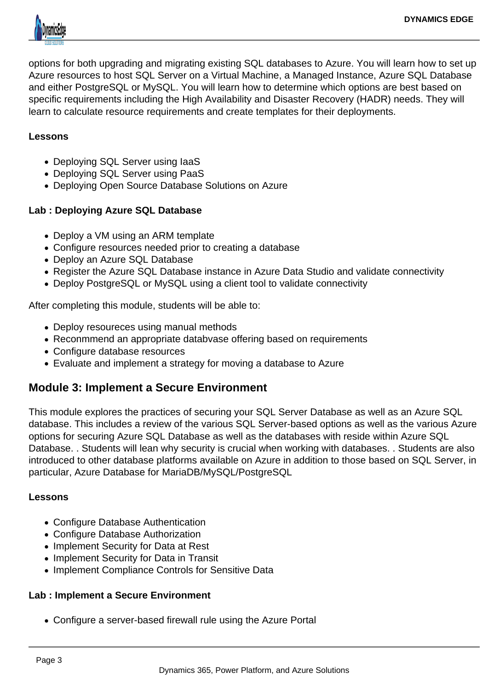

options for both upgrading and migrating existing SQL databases to Azure. You will learn how to set up Azure resources to host SQL Server on a Virtual Machine, a Managed Instance, Azure SQL Database and either PostgreSQL or MySQL. You will learn how to determine which options are best based on specific requirements including the High Availability and Disaster Recovery (HADR) needs. They will learn to calculate resource requirements and create templates for their deployments.

#### **Lessons**

- Deploying SQL Server using laaS
- Deploying SQL Server using PaaS
- Deploying Open Source Database Solutions on Azure

## **Lab : Deploying Azure SQL Database**

- Deploy a VM using an ARM template
- Configure resources needed prior to creating a database
- Deploy an Azure SQL Database
- Register the Azure SQL Database instance in Azure Data Studio and validate connectivity
- Deploy PostgreSQL or MySQL using a client tool to validate connectivity

After completing this module, students will be able to:

- Deploy resoureces using manual methods
- Reconmmend an appropriate databvase offering based on requirements
- Configure database resources
- Evaluate and implement a strategy for moving a database to Azure

## **Module 3: Implement a Secure Environment**

This module explores the practices of securing your SQL Server Database as well as an Azure SQL database. This includes a review of the various SQL Server-based options as well as the various Azure options for securing Azure SQL Database as well as the databases with reside within Azure SQL Database. . Students will lean why security is crucial when working with databases. . Students are also introduced to other database platforms available on Azure in addition to those based on SQL Server, in particular, Azure Database for MariaDB/MySQL/PostgreSQL

## **Lessons**

- Configure Database Authentication
- Configure Database Authorization
- Implement Security for Data at Rest
- Implement Security for Data in Transit
- Implement Compliance Controls for Sensitive Data

## **Lab : Implement a Secure Environment**

Configure a server-based firewall rule using the Azure Portal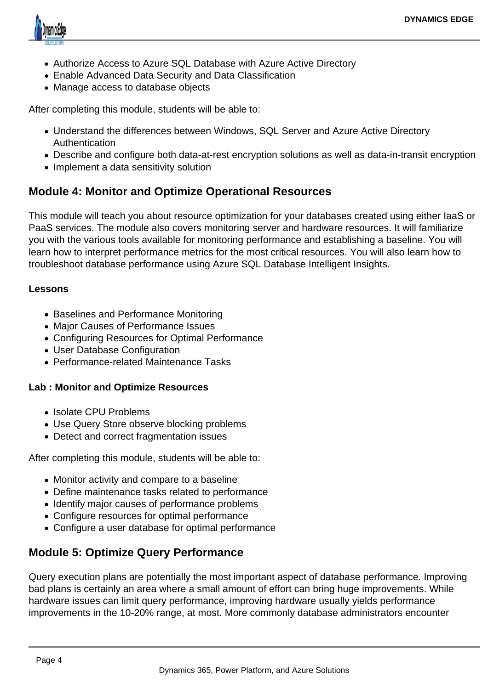

- Authorize Access to Azure SQL Database with Azure Active Directory
- Enable Advanced Data Security and Data Classification
- Manage access to database objects

After completing this module, students will be able to:

- Understand the differences between Windows, SQL Server and Azure Active Directory Authentication
- Describe and configure both data-at-rest encryption solutions as well as data-in-transit encryption
- Implement a data sensitivity solution

## **Module 4: Monitor and Optimize Operational Resources**

This module will teach you about resource optimization for your databases created using either IaaS or PaaS services. The module also covers monitoring server and hardware resources. It will familiarize you with the various tools available for monitoring performance and establishing a baseline. You will learn how to interpret performance metrics for the most critical resources. You will also learn how to troubleshoot database performance using Azure SQL Database Intelligent Insights.

#### **Lessons**

- Baselines and Performance Monitoring
- Major Causes of Performance Issues
- Configuring Resources for Optimal Performance
- User Database Configuration
- Performance-related Maintenance Tasks

#### **Lab : Monitor and Optimize Resources**

- Isolate CPU Problems
- Use Query Store observe blocking problems
- Detect and correct fragmentation issues

After completing this module, students will be able to:

- Monitor activity and compare to a baseline
- Define maintenance tasks related to performance
- Identify major causes of performance problems
- Configure resources for optimal performance
- Configure a user database for optimal performance

## **Module 5: Optimize Query Performance**

Query execution plans are potentially the most important aspect of database performance. Improving bad plans is certainly an area where a small amount of effort can bring huge improvements. While hardware issues can limit query performance, improving hardware usually yields performance improvements in the 10-20% range, at most. More commonly database administrators encounter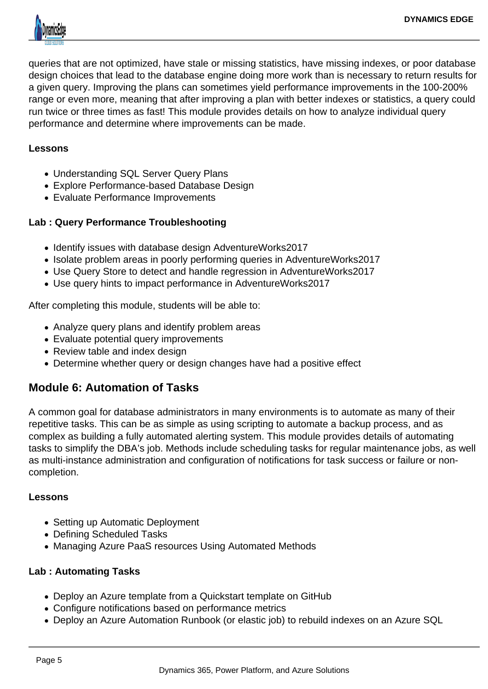

queries that are not optimized, have stale or missing statistics, have missing indexes, or poor database design choices that lead to the database engine doing more work than is necessary to return results for a given query. Improving the plans can sometimes yield performance improvements in the 100-200% range or even more, meaning that after improving a plan with better indexes or statistics, a query could run twice or three times as fast! This module provides details on how to analyze individual query performance and determine where improvements can be made.

#### **Lessons**

- Understanding SQL Server Query Plans
- Explore Performance-based Database Design
- Evaluate Performance Improvements

## **Lab : Query Performance Troubleshooting**

- Identify issues with database design AdventureWorks2017
- Isolate problem areas in poorly performing queries in AdventureWorks2017
- Use Query Store to detect and handle regression in AdventureWorks2017
- Use query hints to impact performance in AdventureWorks2017

After completing this module, students will be able to:

- Analyze query plans and identify problem areas
- Evaluate potential query improvements
- Review table and index design
- Determine whether query or design changes have had a positive effect

## **Module 6: Automation of Tasks**

A common goal for database administrators in many environments is to automate as many of their repetitive tasks. This can be as simple as using scripting to automate a backup process, and as complex as building a fully automated alerting system. This module provides details of automating tasks to simplify the DBA's job. Methods include scheduling tasks for regular maintenance jobs, as well as multi-instance administration and configuration of notifications for task success or failure or noncompletion.

## **Lessons**

- Setting up Automatic Deployment
- Defining Scheduled Tasks
- Managing Azure PaaS resources Using Automated Methods

## **Lab : Automating Tasks**

- Deploy an Azure template from a Quickstart template on GitHub
- Configure notifications based on performance metrics
- Deploy an Azure Automation Runbook (or elastic job) to rebuild indexes on an Azure SQL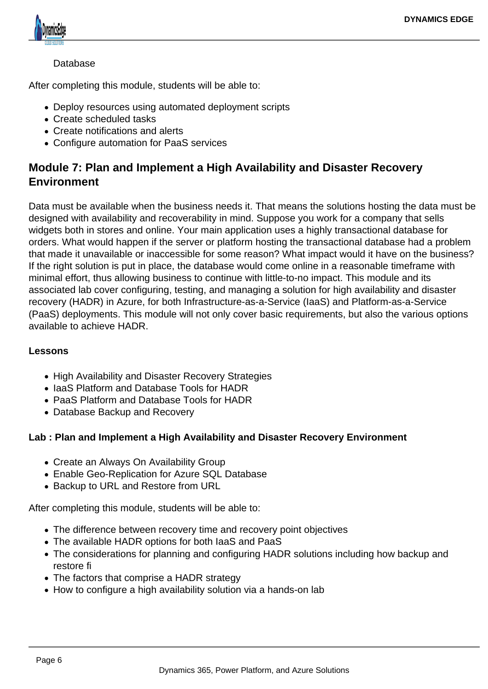

### Database

After completing this module, students will be able to:

- Deploy resources using automated deployment scripts
- Create scheduled tasks
- Create notifications and alerts
- Configure automation for PaaS services

## **Module 7: Plan and Implement a High Availability and Disaster Recovery Environment**

Data must be available when the business needs it. That means the solutions hosting the data must be designed with availability and recoverability in mind. Suppose you work for a company that sells widgets both in stores and online. Your main application uses a highly transactional database for orders. What would happen if the server or platform hosting the transactional database had a problem that made it unavailable or inaccessible for some reason? What impact would it have on the business? If the right solution is put in place, the database would come online in a reasonable timeframe with minimal effort, thus allowing business to continue with little-to-no impact. This module and its associated lab cover configuring, testing, and managing a solution for high availability and disaster recovery (HADR) in Azure, for both Infrastructure-as-a-Service (IaaS) and Platform-as-a-Service (PaaS) deployments. This module will not only cover basic requirements, but also the various options available to achieve HADR.

#### **Lessons**

- High Availability and Disaster Recovery Strategies
- IaaS Platform and Database Tools for HADR
- PaaS Platform and Database Tools for HADR
- Database Backup and Recovery

#### **Lab : Plan and Implement a High Availability and Disaster Recovery Environment**

- Create an Always On Availability Group
- Enable Geo-Replication for Azure SQL Database
- Backup to URL and Restore from URL

After completing this module, students will be able to:

- The difference between recovery time and recovery point objectives
- The available HADR options for both IaaS and PaaS
- The considerations for planning and configuring HADR solutions including how backup and restore fi
- The factors that comprise a HADR strategy
- How to configure a high availability solution via a hands-on lab